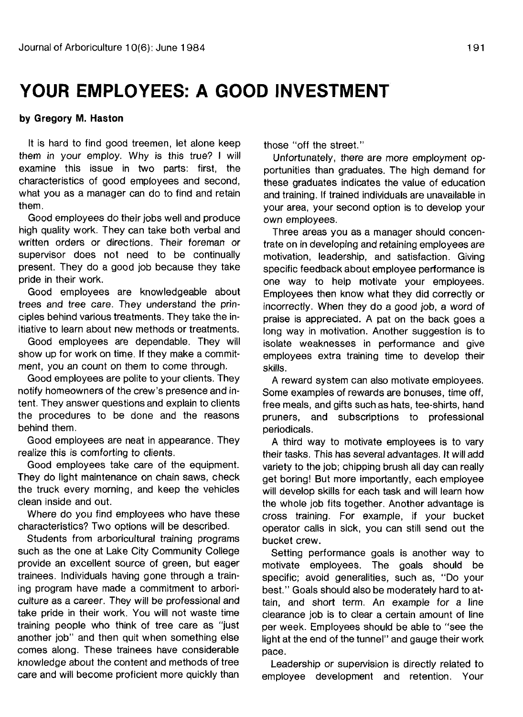# **YOUR EMPLOYEES: A GOOD INVESTMENT**

#### **by Gregory M. Haston**

It is hard to find good treemen, let alone keep them in your employ. Why is this true? I will examine this issue in two parts: first, the characteristics of good employees and second, what you as a manager can do to find and retain them.

Good employees do their jobs well and produce high quality work. They can take both verbal and written orders or directions. Their foreman or supervisor does not need to be continually present. They do a good job because they take pride in their work.

Good employees are knowledgeable about trees and tree care. They understand the principles behind various treatments. They take the initiative to learn about new methods or treatments.

Good employees are dependable. They will show up for work on time. If they make a commitment, you an count on them to come through.

Good employees are polite to your clients. They notify homeowners of the crew's presence and intent. They answer questions and explain to clients the procedures to be done and the reasons behind them.

Good employees are neat in appearance. They realize this is comforting to clients.

Good employees take care of the equipment. They do light maintenance on chain saws, check the truck every morning, and keep the vehicles clean inside and out.

Where do you find employees who have these characteristics? Two options will be described.

Students from arboricultural training programs such as the one at Lake City Community College provide an excellent source of green, but eager trainees. Individuals having gone through a training program have made a commitment to arboriculture as a career. They will be professional and take pride in their work. You will not waste time training people who think of tree care as "just another job" and then quit when something else comes along. These trainees have considerable knowledge about the content and methods of tree care and will become proficient more quickly than

those "off the street."

Unfortunately, there are more employment opportunities than graduates. The high demand for these graduates indicates the value of education and training. If trained individuals are unavailable in your area, your second option is to develop your own employees.

Three areas you as a manager should concentrate on in developing and retaining employees are motivation, leadership, and satisfaction. Giving specific feedback about employee performance is one way to help motivate your employees. Employees then know what they did correctly or incorrectly. When they do a good job, a word of praise is appreciated. A pat on the back goes a long way in motivation. Another suggestion is to isolate weaknesses in performance and give employees extra training time to develop their skills.

A reward system can also motivate employees. Some examples of rewards are bonuses, time off, free meals, and gifts such as hats, tee-shirts, hand pruners, and subscriptions to professional periodicals.

A third way to motivate employees is to vary their tasks. This has several advantages. It will add variety to the job; chipping brush all day can really get boring! But more importantly, each employee will develop skills for each task and will learn how the whole job fits together. Another advantage is cross training. For example, if your bucket operator calls in sick, you can still send out the bucket crew.

Setting performance goals is another way to motivate employees. The goals should be specific; avoid generalities, such as, "Do your best." Goals should also be moderately hard to attain, and short term. An example for a line clearance job is to clear a certain amount of line per week. Employees should be able to "see the light at the end of the tunnel" and gauge their work pace.

Leadership or supervision is directly related to employee development and retention. Your